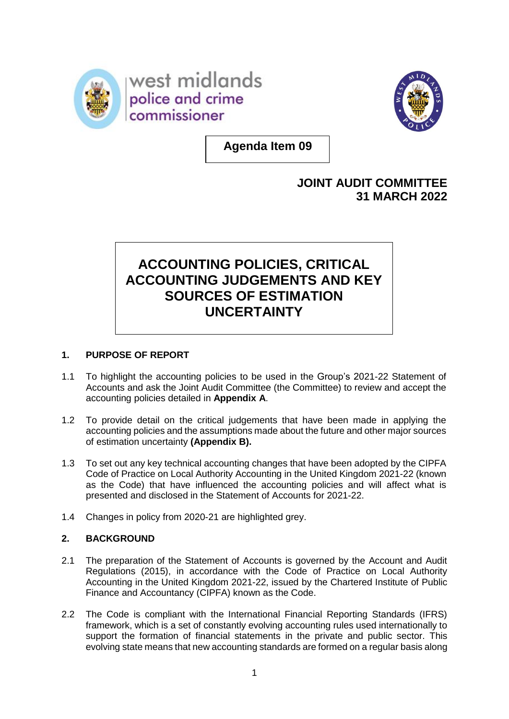



**Agenda Item 09**

## **JOINT AUDIT COMMITTEE 31 MARCH 2022**

# **ACCOUNTING POLICIES, CRITICAL ACCOUNTING JUDGEMENTS AND KEY SOURCES OF ESTIMATION UNCERTAINTY**

## **1. PURPOSE OF REPORT**

- 1.1 To highlight the accounting policies to be used in the Group's 2021-22 Statement of Accounts and ask the Joint Audit Committee (the Committee) to review and accept the accounting policies detailed in **Appendix A**.
- 1.2 To provide detail on the critical judgements that have been made in applying the accounting policies and the assumptions made about the future and other major sources of estimation uncertainty **(Appendix B).**
- 1.3 To set out any key technical accounting changes that have been adopted by the CIPFA Code of Practice on Local Authority Accounting in the United Kingdom 2021-22 (known as the Code) that have influenced the accounting policies and will affect what is presented and disclosed in the Statement of Accounts for 2021-22.
- 1.4 Changes in policy from 2020-21 are highlighted grey.

## **2. BACKGROUND**

- 2.1 The preparation of the Statement of Accounts is governed by the Account and Audit Regulations (2015), in accordance with the Code of Practice on Local Authority Accounting in the United Kingdom 2021-22, issued by the Chartered Institute of Public Finance and Accountancy (CIPFA) known as the Code.
- 2.2 The Code is compliant with the International Financial Reporting Standards (IFRS) framework, which is a set of constantly evolving accounting rules used internationally to support the formation of financial statements in the private and public sector. This evolving state means that new accounting standards are formed on a regular basis along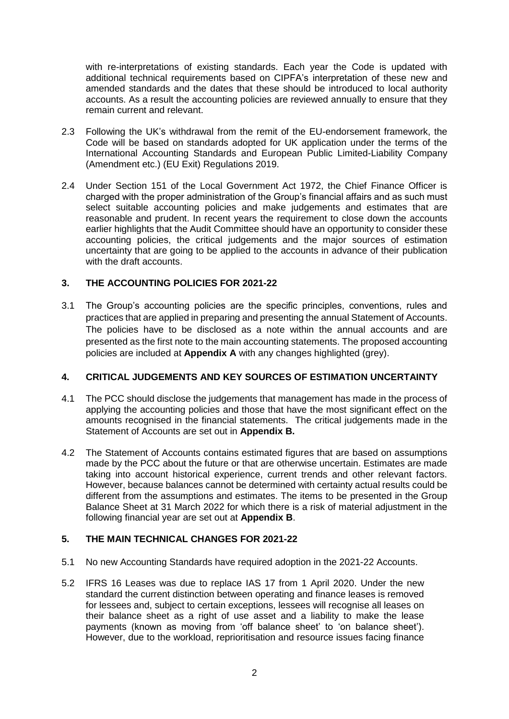with re-interpretations of existing standards. Each year the Code is updated with additional technical requirements based on CIPFA's interpretation of these new and amended standards and the dates that these should be introduced to local authority accounts. As a result the accounting policies are reviewed annually to ensure that they remain current and relevant.

- 2.3 Following the UK's withdrawal from the remit of the EU-endorsement framework, the Code will be based on standards adopted for UK application under the terms of the International Accounting Standards and European Public Limited-Liability Company (Amendment etc.) (EU Exit) Regulations 2019.
- 2.4 Under Section 151 of the Local Government Act 1972, the Chief Finance Officer is charged with the proper administration of the Group's financial affairs and as such must select suitable accounting policies and make judgements and estimates that are reasonable and prudent. In recent years the requirement to close down the accounts earlier highlights that the Audit Committee should have an opportunity to consider these accounting policies, the critical judgements and the major sources of estimation uncertainty that are going to be applied to the accounts in advance of their publication with the draft accounts.

## **3. THE ACCOUNTING POLICIES FOR 2021-22**

3.1 The Group's accounting policies are the specific principles, conventions, rules and practices that are applied in preparing and presenting the annual Statement of Accounts. The policies have to be disclosed as a note within the annual accounts and are presented as the first note to the main accounting statements. The proposed accounting policies are included at **Appendix A** with any changes highlighted (grey).

#### **4. CRITICAL JUDGEMENTS AND KEY SOURCES OF ESTIMATION UNCERTAINTY**

- 4.1 The PCC should disclose the judgements that management has made in the process of applying the accounting policies and those that have the most significant effect on the amounts recognised in the financial statements. The critical judgements made in the Statement of Accounts are set out in **Appendix B.**
- 4.2 The Statement of Accounts contains estimated figures that are based on assumptions made by the PCC about the future or that are otherwise uncertain. Estimates are made taking into account historical experience, current trends and other relevant factors. However, because balances cannot be determined with certainty actual results could be different from the assumptions and estimates. The items to be presented in the Group Balance Sheet at 31 March 2022 for which there is a risk of material adjustment in the following financial year are set out at **Appendix B**.

#### **5. THE MAIN TECHNICAL CHANGES FOR 2021-22**

- 5.1 No new Accounting Standards have required adoption in the 2021-22 Accounts.
- 5.2 IFRS 16 Leases was due to replace IAS 17 from 1 April 2020. Under the new standard the current distinction between operating and finance leases is removed for lessees and, subject to certain exceptions, lessees will recognise all leases on their balance sheet as a right of use asset and a liability to make the lease payments (known as moving from 'off balance sheet' to 'on balance sheet'). However, due to the workload, reprioritisation and resource issues facing finance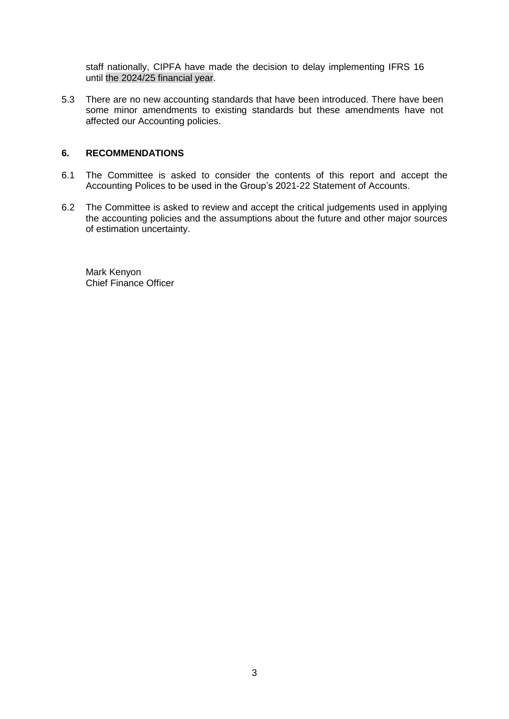staff nationally, CIPFA have made the decision to delay implementing IFRS 16 until the 2024/25 financial year.

5.3 There are no new accounting standards that have been introduced. There have been some minor amendments to existing standards but these amendments have not affected our Accounting policies.

#### **6. RECOMMENDATIONS**

- 6.1 The Committee is asked to consider the contents of this report and accept the Accounting Polices to be used in the Group's 2021-22 Statement of Accounts.
- 6.2 The Committee is asked to review and accept the critical judgements used in applying the accounting policies and the assumptions about the future and other major sources of estimation uncertainty.

Mark Kenyon Chief Finance Officer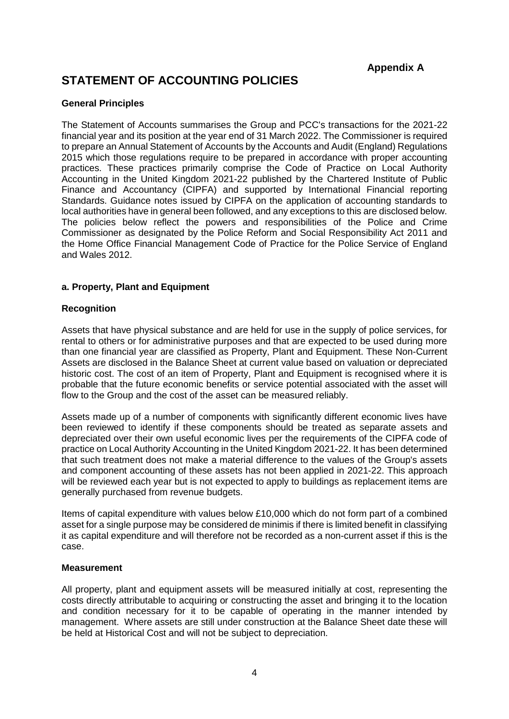**Appendix A**

## **STATEMENT OF ACCOUNTING POLICIES**

#### **General Principles**

The Statement of Accounts summarises the Group and PCC's transactions for the 2021-22 financial year and its position at the year end of 31 March 2022. The Commissioner is required to prepare an Annual Statement of Accounts by the Accounts and Audit (England) Regulations 2015 which those regulations require to be prepared in accordance with proper accounting practices. These practices primarily comprise the Code of Practice on Local Authority Accounting in the United Kingdom 2021-22 published by the Chartered Institute of Public Finance and Accountancy (CIPFA) and supported by International Financial reporting Standards. Guidance notes issued by CIPFA on the application of accounting standards to local authorities have in general been followed, and any exceptions to this are disclosed below. The policies below reflect the powers and responsibilities of the Police and Crime Commissioner as designated by the Police Reform and Social Responsibility Act 2011 and the Home Office Financial Management Code of Practice for the Police Service of England and Wales 2012.

#### **a. Property, Plant and Equipment**

#### **Recognition**

Assets that have physical substance and are held for use in the supply of police services, for rental to others or for administrative purposes and that are expected to be used during more than one financial year are classified as Property, Plant and Equipment. These Non-Current Assets are disclosed in the Balance Sheet at current value based on valuation or depreciated historic cost. The cost of an item of Property, Plant and Equipment is recognised where it is probable that the future economic benefits or service potential associated with the asset will flow to the Group and the cost of the asset can be measured reliably.

Assets made up of a number of components with significantly different economic lives have been reviewed to identify if these components should be treated as separate assets and depreciated over their own useful economic lives per the requirements of the CIPFA code of practice on Local Authority Accounting in the United Kingdom 2021-22. It has been determined that such treatment does not make a material difference to the values of the Group's assets and component accounting of these assets has not been applied in 2021-22. This approach will be reviewed each year but is not expected to apply to buildings as replacement items are generally purchased from revenue budgets.

Items of capital expenditure with values below £10,000 which do not form part of a combined asset for a single purpose may be considered de minimis if there is limited benefit in classifying it as capital expenditure and will therefore not be recorded as a non-current asset if this is the case.

#### **Measurement**

All property, plant and equipment assets will be measured initially at cost, representing the costs directly attributable to acquiring or constructing the asset and bringing it to the location and condition necessary for it to be capable of operating in the manner intended by management. Where assets are still under construction at the Balance Sheet date these will be held at Historical Cost and will not be subject to depreciation.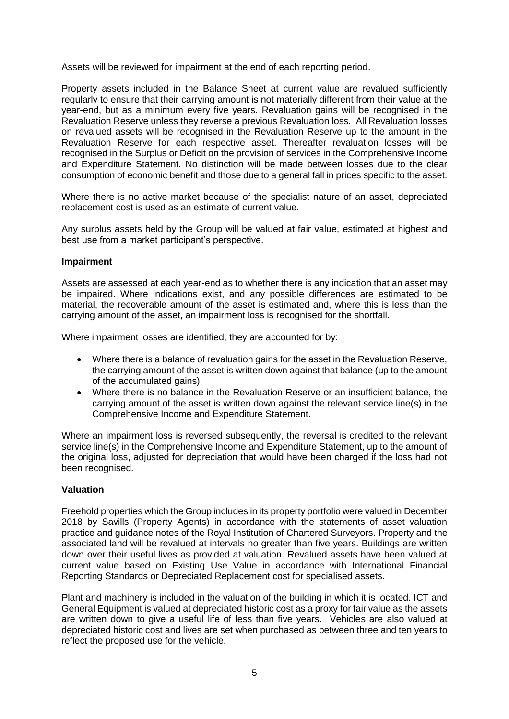Assets will be reviewed for impairment at the end of each reporting period.

Property assets included in the Balance Sheet at current value are revalued sufficiently regularly to ensure that their carrying amount is not materially different from their value at the year-end, but as a minimum every five years. Revaluation gains will be recognised in the Revaluation Reserve unless they reverse a previous Revaluation loss. All Revaluation losses on revalued assets will be recognised in the Revaluation Reserve up to the amount in the Revaluation Reserve for each respective asset. Thereafter revaluation losses will be recognised in the Surplus or Deficit on the provision of services in the Comprehensive Income and Expenditure Statement. No distinction will be made between losses due to the clear consumption of economic benefit and those due to a general fall in prices specific to the asset.

Where there is no active market because of the specialist nature of an asset, depreciated replacement cost is used as an estimate of current value.

Any surplus assets held by the Group will be valued at fair value, estimated at highest and best use from a market participant's perspective.

#### **Impairment**

Assets are assessed at each year-end as to whether there is any indication that an asset may be impaired. Where indications exist, and any possible differences are estimated to be material, the recoverable amount of the asset is estimated and, where this is less than the carrying amount of the asset, an impairment loss is recognised for the shortfall.

Where impairment losses are identified, they are accounted for by:

- Where there is a balance of revaluation gains for the asset in the Revaluation Reserve, the carrying amount of the asset is written down against that balance (up to the amount of the accumulated gains)
- Where there is no balance in the Revaluation Reserve or an insufficient balance, the carrying amount of the asset is written down against the relevant service line(s) in the Comprehensive Income and Expenditure Statement.

Where an impairment loss is reversed subsequently, the reversal is credited to the relevant service line(s) in the Comprehensive Income and Expenditure Statement, up to the amount of the original loss, adjusted for depreciation that would have been charged if the loss had not been recognised.

#### **Valuation**

Freehold properties which the Group includes in its property portfolio were valued in December 2018 by Savills (Property Agents) in accordance with the statements of asset valuation practice and guidance notes of the Royal Institution of Chartered Surveyors. Property and the associated land will be revalued at intervals no greater than five years. Buildings are written down over their useful lives as provided at valuation. Revalued assets have been valued at current value based on Existing Use Value in accordance with International Financial Reporting Standards or Depreciated Replacement cost for specialised assets.

Plant and machinery is included in the valuation of the building in which it is located. ICT and General Equipment is valued at depreciated historic cost as a proxy for fair value as the assets are written down to give a useful life of less than five years. Vehicles are also valued at depreciated historic cost and lives are set when purchased as between three and ten years to reflect the proposed use for the vehicle.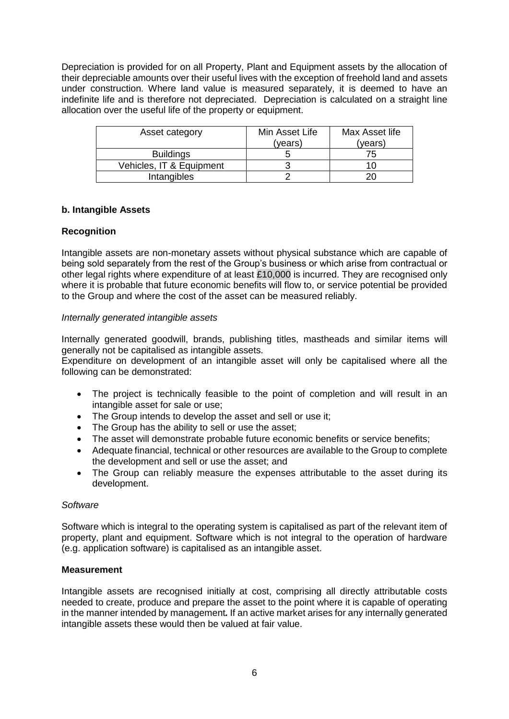Depreciation is provided for on all Property, Plant and Equipment assets by the allocation of their depreciable amounts over their useful lives with the exception of freehold land and assets under construction. Where land value is measured separately, it is deemed to have an indefinite life and is therefore not depreciated. Depreciation is calculated on a straight line allocation over the useful life of the property or equipment.

| Asset category           | Min Asset Life<br>(years) | Max Asset life<br>(years) |
|--------------------------|---------------------------|---------------------------|
| <b>Buildings</b>         |                           | 75                        |
| Vehicles, IT & Equipment |                           |                           |
| <b>Intangibles</b>       |                           |                           |

#### **b. Intangible Assets**

#### **Recognition**

Intangible assets are non-monetary assets without physical substance which are capable of being sold separately from the rest of the Group's business or which arise from contractual or other legal rights where expenditure of at least £10,000 is incurred. They are recognised only where it is probable that future economic benefits will flow to, or service potential be provided to the Group and where the cost of the asset can be measured reliably.

#### *Internally generated intangible assets*

Internally generated goodwill, brands, publishing titles, mastheads and similar items will generally not be capitalised as intangible assets.

Expenditure on development of an intangible asset will only be capitalised where all the following can be demonstrated:

- The project is technically feasible to the point of completion and will result in an intangible asset for sale or use;
- The Group intends to develop the asset and sell or use it;
- The Group has the ability to sell or use the asset;
- The asset will demonstrate probable future economic benefits or service benefits;
- Adequate financial, technical or other resources are available to the Group to complete the development and sell or use the asset; and
- The Group can reliably measure the expenses attributable to the asset during its development.

#### *Software*

Software which is integral to the operating system is capitalised as part of the relevant item of property, plant and equipment. Software which is not integral to the operation of hardware (e.g. application software) is capitalised as an intangible asset.

#### **Measurement**

Intangible assets are recognised initially at cost, comprising all directly attributable costs needed to create, produce and prepare the asset to the point where it is capable of operating in the manner intended by management*.* If an active market arises for any internally generated intangible assets these would then be valued at fair value.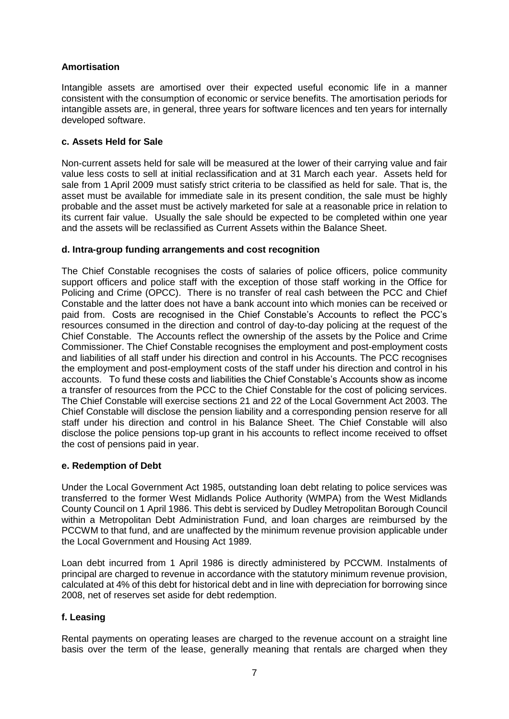#### **Amortisation**

Intangible assets are amortised over their expected useful economic life in a manner consistent with the consumption of economic or service benefits. The amortisation periods for intangible assets are, in general, three years for software licences and ten years for internally developed software.

### **c. Assets Held for Sale**

Non-current assets held for sale will be measured at the lower of their carrying value and fair value less costs to sell at initial reclassification and at 31 March each year. Assets held for sale from 1 April 2009 must satisfy strict criteria to be classified as held for sale. That is, the asset must be available for immediate sale in its present condition, the sale must be highly probable and the asset must be actively marketed for sale at a reasonable price in relation to its current fair value. Usually the sale should be expected to be completed within one year and the assets will be reclassified as Current Assets within the Balance Sheet.

#### **d. Intra-group funding arrangements and cost recognition**

The Chief Constable recognises the costs of salaries of police officers, police community support officers and police staff with the exception of those staff working in the Office for Policing and Crime (OPCC). There is no transfer of real cash between the PCC and Chief Constable and the latter does not have a bank account into which monies can be received or paid from. Costs are recognised in the Chief Constable's Accounts to reflect the PCC's resources consumed in the direction and control of day-to-day policing at the request of the Chief Constable. The Accounts reflect the ownership of the assets by the Police and Crime Commissioner. The Chief Constable recognises the employment and post-employment costs and liabilities of all staff under his direction and control in his Accounts. The PCC recognises the employment and post-employment costs of the staff under his direction and control in his accounts. To fund these costs and liabilities the Chief Constable's Accounts show as income a transfer of resources from the PCC to the Chief Constable for the cost of policing services. The Chief Constable will exercise sections 21 and 22 of the Local Government Act 2003. The Chief Constable will disclose the pension liability and a corresponding pension reserve for all staff under his direction and control in his Balance Sheet. The Chief Constable will also disclose the police pensions top-up grant in his accounts to reflect income received to offset the cost of pensions paid in year.

#### **e. Redemption of Debt**

Under the Local Government Act 1985, outstanding loan debt relating to police services was transferred to the former West Midlands Police Authority (WMPA) from the West Midlands County Council on 1 April 1986. This debt is serviced by Dudley Metropolitan Borough Council within a Metropolitan Debt Administration Fund, and loan charges are reimbursed by the PCCWM to that fund, and are unaffected by the minimum revenue provision applicable under the Local Government and Housing Act 1989.

Loan debt incurred from 1 April 1986 is directly administered by PCCWM. Instalments of principal are charged to revenue in accordance with the statutory minimum revenue provision, calculated at 4% of this debt for historical debt and in line with depreciation for borrowing since 2008, net of reserves set aside for debt redemption.

## **f. Leasing**

Rental payments on operating leases are charged to the revenue account on a straight line basis over the term of the lease, generally meaning that rentals are charged when they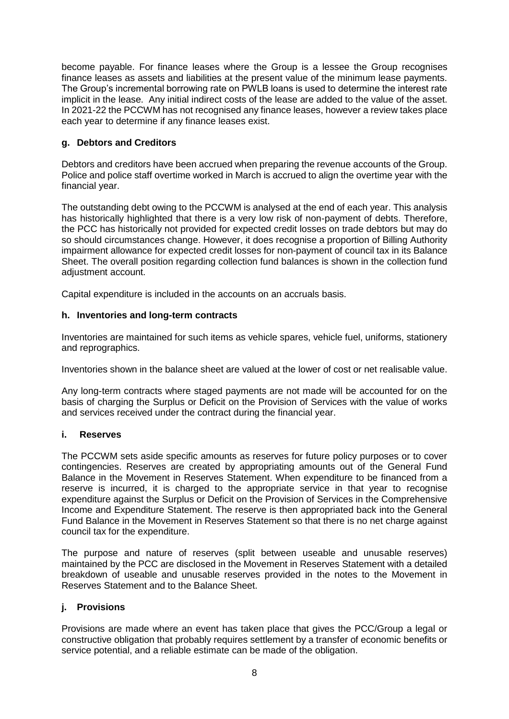become payable. For finance leases where the Group is a lessee the Group recognises finance leases as assets and liabilities at the present value of the minimum lease payments. The Group's incremental borrowing rate on PWLB loans is used to determine the interest rate implicit in the lease. Any initial indirect costs of the lease are added to the value of the asset. In 2021-22 the PCCWM has not recognised any finance leases, however a review takes place each year to determine if any finance leases exist.

## **g. Debtors and Creditors**

Debtors and creditors have been accrued when preparing the revenue accounts of the Group. Police and police staff overtime worked in March is accrued to align the overtime year with the financial year.

The outstanding debt owing to the PCCWM is analysed at the end of each year. This analysis has historically highlighted that there is a very low risk of non-payment of debts. Therefore, the PCC has historically not provided for expected credit losses on trade debtors but may do so should circumstances change. However, it does recognise a proportion of Billing Authority impairment allowance for expected credit losses for non-payment of council tax in its Balance Sheet. The overall position regarding collection fund balances is shown in the collection fund adiustment account.

Capital expenditure is included in the accounts on an accruals basis.

#### **h. Inventories and long-term contracts**

Inventories are maintained for such items as vehicle spares, vehicle fuel, uniforms, stationery and reprographics.

Inventories shown in the balance sheet are valued at the lower of cost or net realisable value.

Any long-term contracts where staged payments are not made will be accounted for on the basis of charging the Surplus or Deficit on the Provision of Services with the value of works and services received under the contract during the financial year.

#### **i. Reserves**

The PCCWM sets aside specific amounts as reserves for future policy purposes or to cover contingencies. Reserves are created by appropriating amounts out of the General Fund Balance in the Movement in Reserves Statement. When expenditure to be financed from a reserve is incurred, it is charged to the appropriate service in that year to recognise expenditure against the Surplus or Deficit on the Provision of Services in the Comprehensive Income and Expenditure Statement. The reserve is then appropriated back into the General Fund Balance in the Movement in Reserves Statement so that there is no net charge against council tax for the expenditure.

The purpose and nature of reserves (split between useable and unusable reserves) maintained by the PCC are disclosed in the Movement in Reserves Statement with a detailed breakdown of useable and unusable reserves provided in the notes to the Movement in Reserves Statement and to the Balance Sheet.

#### **j. Provisions**

Provisions are made where an event has taken place that gives the PCC/Group a legal or constructive obligation that probably requires settlement by a transfer of economic benefits or service potential, and a reliable estimate can be made of the obligation.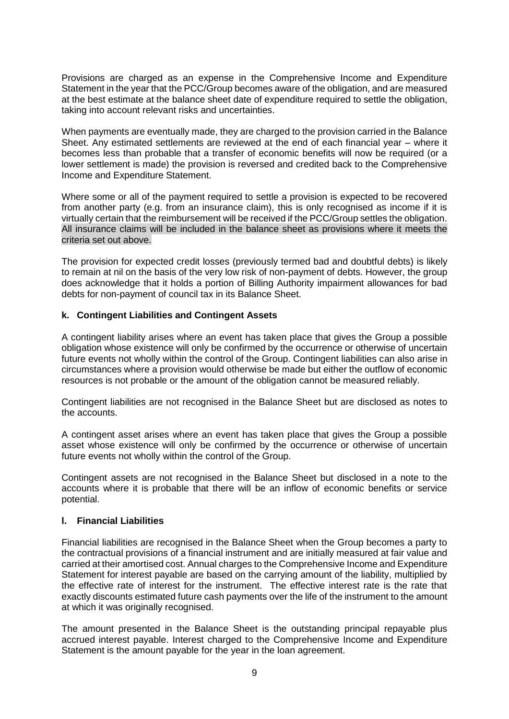Provisions are charged as an expense in the Comprehensive Income and Expenditure Statement in the year that the PCC/Group becomes aware of the obligation, and are measured at the best estimate at the balance sheet date of expenditure required to settle the obligation, taking into account relevant risks and uncertainties.

When payments are eventually made, they are charged to the provision carried in the Balance Sheet. Any estimated settlements are reviewed at the end of each financial year – where it becomes less than probable that a transfer of economic benefits will now be required (or a lower settlement is made) the provision is reversed and credited back to the Comprehensive Income and Expenditure Statement.

Where some or all of the payment required to settle a provision is expected to be recovered from another party (e.g. from an insurance claim), this is only recognised as income if it is virtually certain that the reimbursement will be received if the PCC/Group settles the obligation. All insurance claims will be included in the balance sheet as provisions where it meets the criteria set out above.

The provision for expected credit losses (previously termed bad and doubtful debts) is likely to remain at nil on the basis of the very low risk of non-payment of debts. However, the group does acknowledge that it holds a portion of Billing Authority impairment allowances for bad debts for non-payment of council tax in its Balance Sheet.

#### **k. Contingent Liabilities and Contingent Assets**

A contingent liability arises where an event has taken place that gives the Group a possible obligation whose existence will only be confirmed by the occurrence or otherwise of uncertain future events not wholly within the control of the Group. Contingent liabilities can also arise in circumstances where a provision would otherwise be made but either the outflow of economic resources is not probable or the amount of the obligation cannot be measured reliably.

Contingent liabilities are not recognised in the Balance Sheet but are disclosed as notes to the accounts.

A contingent asset arises where an event has taken place that gives the Group a possible asset whose existence will only be confirmed by the occurrence or otherwise of uncertain future events not wholly within the control of the Group.

Contingent assets are not recognised in the Balance Sheet but disclosed in a note to the accounts where it is probable that there will be an inflow of economic benefits or service potential.

#### **l. Financial Liabilities**

Financial liabilities are recognised in the Balance Sheet when the Group becomes a party to the contractual provisions of a financial instrument and are initially measured at fair value and carried at their amortised cost. Annual charges to the Comprehensive Income and Expenditure Statement for interest payable are based on the carrying amount of the liability, multiplied by the effective rate of interest for the instrument. The effective interest rate is the rate that exactly discounts estimated future cash payments over the life of the instrument to the amount at which it was originally recognised.

The amount presented in the Balance Sheet is the outstanding principal repayable plus accrued interest payable. Interest charged to the Comprehensive Income and Expenditure Statement is the amount payable for the year in the loan agreement.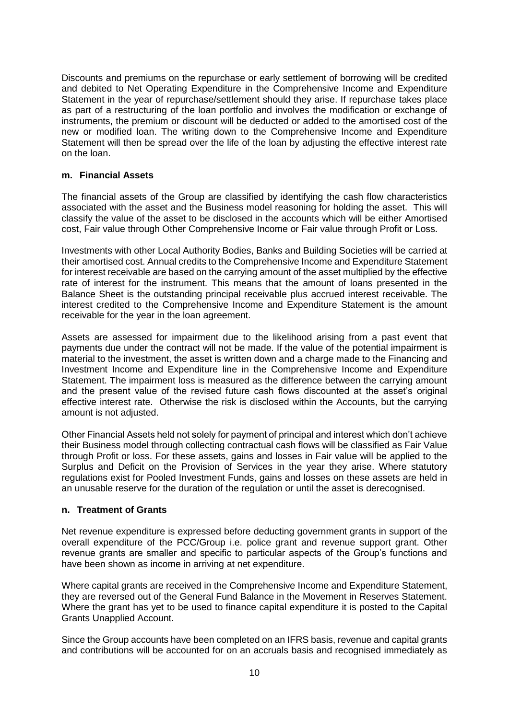Discounts and premiums on the repurchase or early settlement of borrowing will be credited and debited to Net Operating Expenditure in the Comprehensive Income and Expenditure Statement in the year of repurchase/settlement should they arise. If repurchase takes place as part of a restructuring of the loan portfolio and involves the modification or exchange of instruments, the premium or discount will be deducted or added to the amortised cost of the new or modified loan. The writing down to the Comprehensive Income and Expenditure Statement will then be spread over the life of the loan by adjusting the effective interest rate on the loan.

#### **m. Financial Assets**

The financial assets of the Group are classified by identifying the cash flow characteristics associated with the asset and the Business model reasoning for holding the asset. This will classify the value of the asset to be disclosed in the accounts which will be either Amortised cost, Fair value through Other Comprehensive Income or Fair value through Profit or Loss.

Investments with other Local Authority Bodies, Banks and Building Societies will be carried at their amortised cost. Annual credits to the Comprehensive Income and Expenditure Statement for interest receivable are based on the carrying amount of the asset multiplied by the effective rate of interest for the instrument. This means that the amount of loans presented in the Balance Sheet is the outstanding principal receivable plus accrued interest receivable. The interest credited to the Comprehensive Income and Expenditure Statement is the amount receivable for the year in the loan agreement.

Assets are assessed for impairment due to the likelihood arising from a past event that payments due under the contract will not be made. If the value of the potential impairment is material to the investment, the asset is written down and a charge made to the Financing and Investment Income and Expenditure line in the Comprehensive Income and Expenditure Statement. The impairment loss is measured as the difference between the carrying amount and the present value of the revised future cash flows discounted at the asset's original effective interest rate. Otherwise the risk is disclosed within the Accounts, but the carrying amount is not adjusted.

Other Financial Assets held not solely for payment of principal and interest which don't achieve their Business model through collecting contractual cash flows will be classified as Fair Value through Profit or loss. For these assets, gains and losses in Fair value will be applied to the Surplus and Deficit on the Provision of Services in the year they arise. Where statutory regulations exist for Pooled Investment Funds, gains and losses on these assets are held in an unusable reserve for the duration of the regulation or until the asset is derecognised.

#### **n. Treatment of Grants**

Net revenue expenditure is expressed before deducting government grants in support of the overall expenditure of the PCC/Group i.e. police grant and revenue support grant. Other revenue grants are smaller and specific to particular aspects of the Group's functions and have been shown as income in arriving at net expenditure.

Where capital grants are received in the Comprehensive Income and Expenditure Statement, they are reversed out of the General Fund Balance in the Movement in Reserves Statement. Where the grant has yet to be used to finance capital expenditure it is posted to the Capital Grants Unapplied Account.

Since the Group accounts have been completed on an IFRS basis, revenue and capital grants and contributions will be accounted for on an accruals basis and recognised immediately as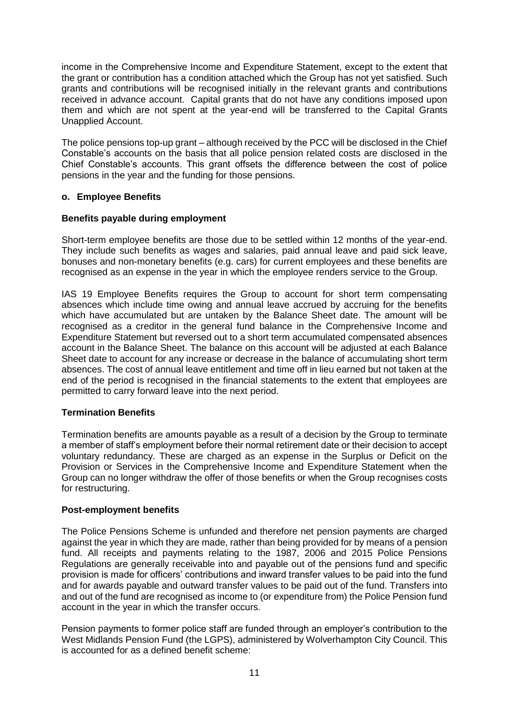income in the Comprehensive Income and Expenditure Statement, except to the extent that the grant or contribution has a condition attached which the Group has not yet satisfied. Such grants and contributions will be recognised initially in the relevant grants and contributions received in advance account. Capital grants that do not have any conditions imposed upon them and which are not spent at the year-end will be transferred to the Capital Grants Unapplied Account.

The police pensions top-up grant – although received by the PCC will be disclosed in the Chief Constable's accounts on the basis that all police pension related costs are disclosed in the Chief Constable's accounts. This grant offsets the difference between the cost of police pensions in the year and the funding for those pensions.

#### **o. Employee Benefits**

#### **Benefits payable during employment**

Short-term employee benefits are those due to be settled within 12 months of the year-end. They include such benefits as wages and salaries, paid annual leave and paid sick leave, bonuses and non-monetary benefits (e.g. cars) for current employees and these benefits are recognised as an expense in the year in which the employee renders service to the Group.

IAS 19 Employee Benefits requires the Group to account for short term compensating absences which include time owing and annual leave accrued by accruing for the benefits which have accumulated but are untaken by the Balance Sheet date. The amount will be recognised as a creditor in the general fund balance in the Comprehensive Income and Expenditure Statement but reversed out to a short term accumulated compensated absences account in the Balance Sheet. The balance on this account will be adjusted at each Balance Sheet date to account for any increase or decrease in the balance of accumulating short term absences. The cost of annual leave entitlement and time off in lieu earned but not taken at the end of the period is recognised in the financial statements to the extent that employees are permitted to carry forward leave into the next period.

## **Termination Benefits**

Termination benefits are amounts payable as a result of a decision by the Group to terminate a member of staff's employment before their normal retirement date or their decision to accept voluntary redundancy. These are charged as an expense in the Surplus or Deficit on the Provision or Services in the Comprehensive Income and Expenditure Statement when the Group can no longer withdraw the offer of those benefits or when the Group recognises costs for restructuring.

#### **Post-employment benefits**

The Police Pensions Scheme is unfunded and therefore net pension payments are charged against the year in which they are made, rather than being provided for by means of a pension fund. All receipts and payments relating to the 1987, 2006 and 2015 Police Pensions Regulations are generally receivable into and payable out of the pensions fund and specific provision is made for officers' contributions and inward transfer values to be paid into the fund and for awards payable and outward transfer values to be paid out of the fund. Transfers into and out of the fund are recognised as income to (or expenditure from) the Police Pension fund account in the year in which the transfer occurs.

Pension payments to former police staff are funded through an employer's contribution to the West Midlands Pension Fund (the LGPS), administered by Wolverhampton City Council. This is accounted for as a defined benefit scheme: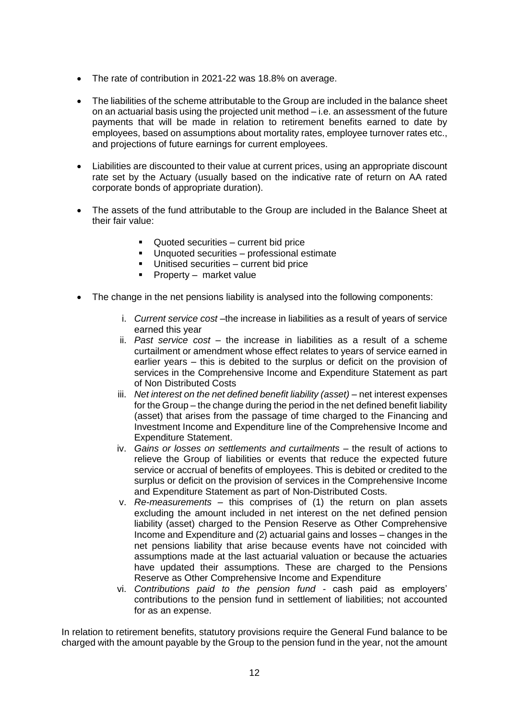- The rate of contribution in 2021-22 was 18.8% on average.
- The liabilities of the scheme attributable to the Group are included in the balance sheet on an actuarial basis using the projected unit method – i.e. an assessment of the future payments that will be made in relation to retirement benefits earned to date by employees, based on assumptions about mortality rates, employee turnover rates etc., and projections of future earnings for current employees.
- Liabilities are discounted to their value at current prices, using an appropriate discount rate set by the Actuary (usually based on the indicative rate of return on AA rated corporate bonds of appropriate duration).
- The assets of the fund attributable to the Group are included in the Balance Sheet at their fair value:
	- Quoted securities current bid price
	- Unquoted securities professional estimate
	- Unitised securities current bid price
	- **•** Property market value
- The change in the net pensions liability is analysed into the following components:
	- i. *Current service cost* –the increase in liabilities as a result of years of service earned this year
	- ii. *Past service cost* the increase in liabilities as a result of a scheme curtailment or amendment whose effect relates to years of service earned in earlier years – this is debited to the surplus or deficit on the provision of services in the Comprehensive Income and Expenditure Statement as part of Non Distributed Costs
	- iii. *Net interest on the net defined benefit liability (asset)* net interest expenses for the Group – the change during the period in the net defined benefit liability (asset) that arises from the passage of time charged to the Financing and Investment Income and Expenditure line of the Comprehensive Income and Expenditure Statement.
	- iv. *Gains or losses on settlements and curtailments the result of actions to* relieve the Group of liabilities or events that reduce the expected future service or accrual of benefits of employees. This is debited or credited to the surplus or deficit on the provision of services in the Comprehensive Income and Expenditure Statement as part of Non-Distributed Costs.
	- v. *Re-measurements* this comprises of (1) the return on plan assets excluding the amount included in net interest on the net defined pension liability (asset) charged to the Pension Reserve as Other Comprehensive Income and Expenditure and (2) actuarial gains and losses – changes in the net pensions liability that arise because events have not coincided with assumptions made at the last actuarial valuation or because the actuaries have updated their assumptions. These are charged to the Pensions Reserve as Other Comprehensive Income and Expenditure
	- vi. *Contributions paid to the pension fund -* cash paid as employers' contributions to the pension fund in settlement of liabilities; not accounted for as an expense.

In relation to retirement benefits, statutory provisions require the General Fund balance to be charged with the amount payable by the Group to the pension fund in the year, not the amount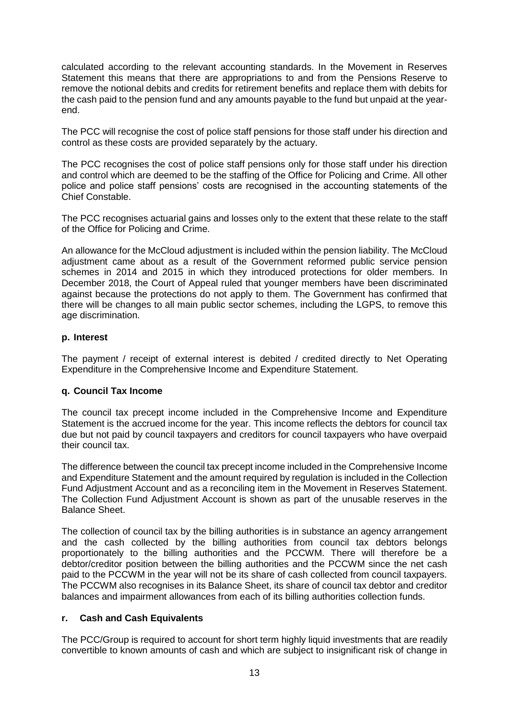calculated according to the relevant accounting standards. In the Movement in Reserves Statement this means that there are appropriations to and from the Pensions Reserve to remove the notional debits and credits for retirement benefits and replace them with debits for the cash paid to the pension fund and any amounts payable to the fund but unpaid at the yearend.

The PCC will recognise the cost of police staff pensions for those staff under his direction and control as these costs are provided separately by the actuary.

The PCC recognises the cost of police staff pensions only for those staff under his direction and control which are deemed to be the staffing of the Office for Policing and Crime. All other police and police staff pensions' costs are recognised in the accounting statements of the Chief Constable.

The PCC recognises actuarial gains and losses only to the extent that these relate to the staff of the Office for Policing and Crime.

An allowance for the McCloud adjustment is included within the pension liability. The McCloud adjustment came about as a result of the Government reformed public service pension schemes in 2014 and 2015 in which they introduced protections for older members. In December 2018, the Court of Appeal ruled that younger members have been discriminated against because the protections do not apply to them. The Government has confirmed that there will be changes to all main public sector schemes, including the LGPS, to remove this age discrimination.

#### **p. Interest**

The payment / receipt of external interest is debited / credited directly to Net Operating Expenditure in the Comprehensive Income and Expenditure Statement.

#### **q. Council Tax Income**

The council tax precept income included in the Comprehensive Income and Expenditure Statement is the accrued income for the year. This income reflects the debtors for council tax due but not paid by council taxpayers and creditors for council taxpayers who have overpaid their council tax.

The difference between the council tax precept income included in the Comprehensive Income and Expenditure Statement and the amount required by regulation is included in the Collection Fund Adjustment Account and as a reconciling item in the Movement in Reserves Statement. The Collection Fund Adjustment Account is shown as part of the unusable reserves in the Balance Sheet.

The collection of council tax by the billing authorities is in substance an agency arrangement and the cash collected by the billing authorities from council tax debtors belongs proportionately to the billing authorities and the PCCWM. There will therefore be a debtor/creditor position between the billing authorities and the PCCWM since the net cash paid to the PCCWM in the year will not be its share of cash collected from council taxpayers. The PCCWM also recognises in its Balance Sheet, its share of council tax debtor and creditor balances and impairment allowances from each of its billing authorities collection funds.

#### **r. Cash and Cash Equivalents**

The PCC/Group is required to account for short term highly liquid investments that are readily convertible to known amounts of cash and which are subject to insignificant risk of change in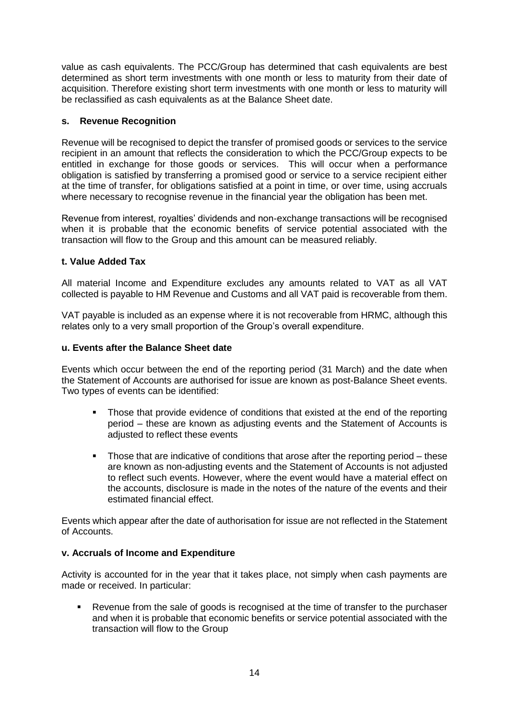value as cash equivalents. The PCC/Group has determined that cash equivalents are best determined as short term investments with one month or less to maturity from their date of acquisition. Therefore existing short term investments with one month or less to maturity will be reclassified as cash equivalents as at the Balance Sheet date.

#### **s. Revenue Recognition**

Revenue will be recognised to depict the transfer of promised goods or services to the service recipient in an amount that reflects the consideration to which the PCC/Group expects to be entitled in exchange for those goods or services. This will occur when a performance obligation is satisfied by transferring a promised good or service to a service recipient either at the time of transfer, for obligations satisfied at a point in time, or over time, using accruals where necessary to recognise revenue in the financial year the obligation has been met.

Revenue from interest, royalties' dividends and non-exchange transactions will be recognised when it is probable that the economic benefits of service potential associated with the transaction will flow to the Group and this amount can be measured reliably.

#### **t. Value Added Tax**

All material Income and Expenditure excludes any amounts related to VAT as all VAT collected is payable to HM Revenue and Customs and all VAT paid is recoverable from them.

VAT payable is included as an expense where it is not recoverable from HRMC, although this relates only to a very small proportion of the Group's overall expenditure.

#### **u. Events after the Balance Sheet date**

Events which occur between the end of the reporting period (31 March) and the date when the Statement of Accounts are authorised for issue are known as post-Balance Sheet events. Two types of events can be identified:

- Those that provide evidence of conditions that existed at the end of the reporting period – these are known as adjusting events and the Statement of Accounts is adjusted to reflect these events
- Those that are indicative of conditions that arose after the reporting period these are known as non-adjusting events and the Statement of Accounts is not adjusted to reflect such events. However, where the event would have a material effect on the accounts, disclosure is made in the notes of the nature of the events and their estimated financial effect.

Events which appear after the date of authorisation for issue are not reflected in the Statement of Accounts.

#### **v. Accruals of Income and Expenditure**

Activity is accounted for in the year that it takes place, not simply when cash payments are made or received. In particular:

Revenue from the sale of goods is recognised at the time of transfer to the purchaser and when it is probable that economic benefits or service potential associated with the transaction will flow to the Group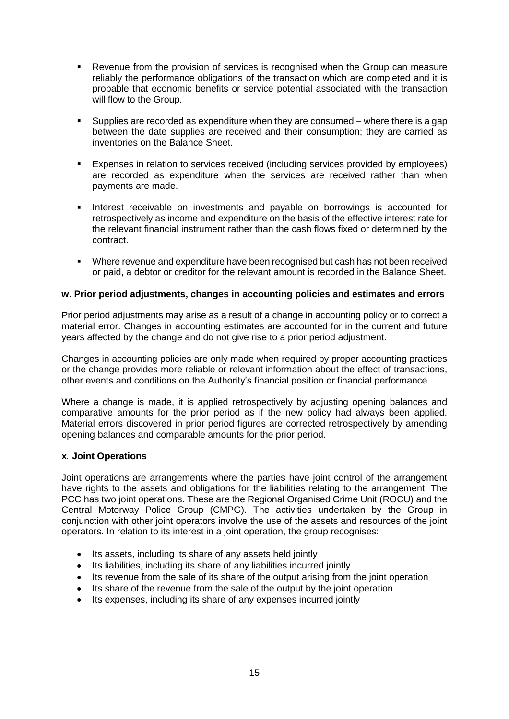- Revenue from the provision of services is recognised when the Group can measure reliably the performance obligations of the transaction which are completed and it is probable that economic benefits or service potential associated with the transaction will flow to the Group.
- Supplies are recorded as expenditure when they are consumed where there is a gap between the date supplies are received and their consumption; they are carried as inventories on the Balance Sheet.
- Expenses in relation to services received (including services provided by employees) are recorded as expenditure when the services are received rather than when payments are made.
- **·** Interest receivable on investments and payable on borrowings is accounted for retrospectively as income and expenditure on the basis of the effective interest rate for the relevant financial instrument rather than the cash flows fixed or determined by the contract.
- Where revenue and expenditure have been recognised but cash has not been received or paid, a debtor or creditor for the relevant amount is recorded in the Balance Sheet.

#### **w. Prior period adjustments, changes in accounting policies and estimates and errors**

Prior period adjustments may arise as a result of a change in accounting policy or to correct a material error. Changes in accounting estimates are accounted for in the current and future years affected by the change and do not give rise to a prior period adjustment.

Changes in accounting policies are only made when required by proper accounting practices or the change provides more reliable or relevant information about the effect of transactions, other events and conditions on the Authority's financial position or financial performance.

Where a change is made, it is applied retrospectively by adjusting opening balances and comparative amounts for the prior period as if the new policy had always been applied. Material errors discovered in prior period figures are corrected retrospectively by amending opening balances and comparable amounts for the prior period.

#### **x***.* **Joint Operations**

Joint operations are arrangements where the parties have joint control of the arrangement have rights to the assets and obligations for the liabilities relating to the arrangement. The PCC has two joint operations. These are the Regional Organised Crime Unit (ROCU) and the Central Motorway Police Group (CMPG). The activities undertaken by the Group in conjunction with other joint operators involve the use of the assets and resources of the joint operators. In relation to its interest in a joint operation, the group recognises:

- Its assets, including its share of any assets held jointly
- Its liabilities, including its share of any liabilities incurred jointly
- Its revenue from the sale of its share of the output arising from the joint operation
- Its share of the revenue from the sale of the output by the joint operation
- Its expenses, including its share of any expenses incurred jointly